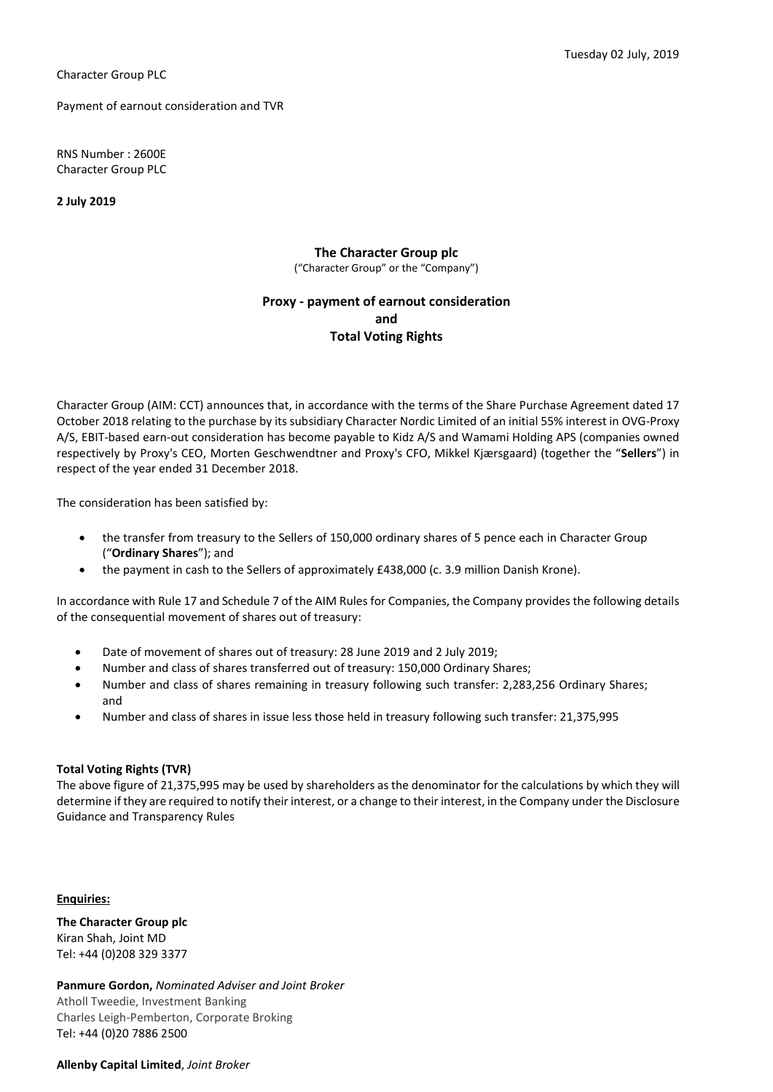Payment of earnout consideration and TVR

RNS Number : 2600E Character Group PLC

2 July 2019

The Character Group plc ("Character Group" or the "Company")

## Proxy - payment of earnout consideration and Total Voting Rights

Character Group (AIM: CCT) announces that, in accordance with the terms of the Share Purchase Agreement dated 17 October 2018 relating to the purchase by its subsidiary Character Nordic Limited of an initial 55% interest in OVG-Proxy A/S, EBIT-based earn-out consideration has become payable to Kidz A/S and Wamami Holding APS (companies owned respectively by Proxy's CEO, Morten Geschwendtner and Proxy's CFO, Mikkel Kjærsgaard) (together the "Sellers") in respect of the year ended 31 December 2018.

The consideration has been satisfied by:

- the transfer from treasury to the Sellers of 150,000 ordinary shares of 5 pence each in Character Group ("Ordinary Shares"); and
- the payment in cash to the Sellers of approximately £438,000 (c. 3.9 million Danish Krone).

In accordance with Rule 17 and Schedule 7 of the AIM Rules for Companies, the Company provides the following details of the consequential movement of shares out of treasury:

- Date of movement of shares out of treasury: 28 June 2019 and 2 July 2019;
- Number and class of shares transferred out of treasury: 150,000 Ordinary Shares;
- Number and class of shares remaining in treasury following such transfer: 2,283,256 Ordinary Shares; and
- Number and class of shares in issue less those held in treasury following such transfer: 21,375,995

## Total Voting Rights (TVR)

The above figure of 21,375,995 may be used by shareholders as the denominator for the calculations by which they will determine if they are required to notify their interest, or a change to their interest, in the Company under the Disclosure Guidance and Transparency Rules

Enquiries:

The Character Group plc Kiran Shah, Joint MD Tel: +44 (0)208 329 3377

Panmure Gordon, Nominated Adviser and Joint Broker Atholl Tweedie, Investment Banking Charles Leigh-Pemberton, Corporate Broking Tel: +44 (0)20 7886 2500

Allenby Capital Limited, Joint Broker

Tuesday 02 July, 2019